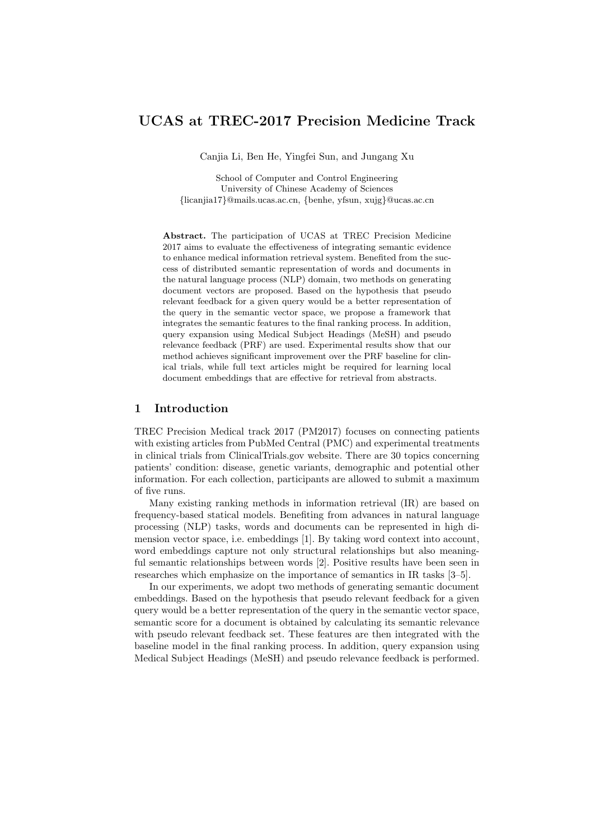# **UCAS at TREC-2017 Precision Medicine Track**

Canjia Li, Ben He, Yingfei Sun, and Jungang Xu

School of Computer and Control Engineering University of Chinese Academy of Sciences *{*licanjia17*}*@mails.ucas.ac.cn, *{*benhe, yfsun, xujg*}*@ucas.ac.cn

**Abstract.** The participation of UCAS at TREC Precision Medicine 2017 aims to evaluate the effectiveness of integrating semantic evidence to enhance medical information retrieval system. Benefited from the success of distributed semantic representation of words and documents in the natural language process (NLP) domain, two methods on generating document vectors are proposed. Based on the hypothesis that pseudo relevant feedback for a given query would be a better representation of the query in the semantic vector space, we propose a framework that integrates the semantic features to the final ranking process. In addition, query expansion using Medical Subject Headings (MeSH) and pseudo relevance feedback (PRF) are used. Experimental results show that our method achieves significant improvement over the PRF baseline for clinical trials, while full text articles might be required for learning local document embeddings that are effective for retrieval from abstracts.

# **1 Introduction**

TREC Precision Medical track 2017 (PM2017) focuses on connecting patients with existing articles from PubMed Central (PMC) and experimental treatments in clinical trials from ClinicalTrials.gov website. There are 30 topics concerning patients' condition: disease, genetic variants, demographic and potential other information. For each collection, participants are allowed to submit a maximum of five runs.

Many existing ranking methods in information retrieval (IR) are based on frequency-based statical models. Benefiting from advances in natural language processing (NLP) tasks, words and documents can be represented in high dimension vector space, i.e. embeddings [1]. By taking word context into account, word embeddings capture not only structural relationships but also meaningful semantic relationships between words [2]. Positive results have been seen in researches which emphasize on the importance of semantics in IR tasks [3–5].

In our experiments, we adopt two methods of generating semantic document embeddings. Based on the hypothesis that pseudo relevant feedback for a given query would be a better representation of the query in the semantic vector space, semantic score for a document is obtained by calculating its semantic relevance with pseudo relevant feedback set. These features are then integrated with the baseline model in the final ranking process. In addition, query expansion using Medical Subject Headings (MeSH) and pseudo relevance feedback is performed.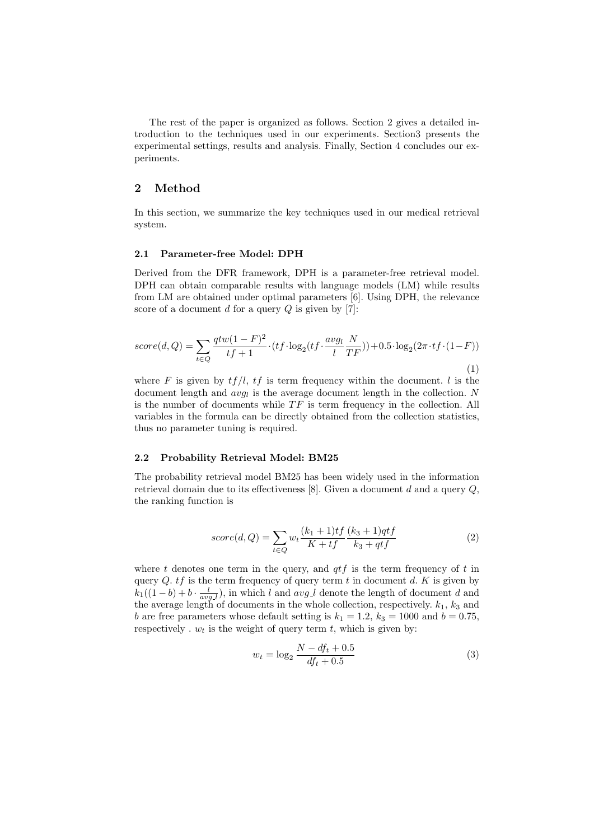The rest of the paper is organized as follows. Section 2 gives a detailed introduction to the techniques used in our experiments. Section3 presents the experimental settings, results and analysis. Finally, Section 4 concludes our experiments.

### **2 Method**

In this section, we summarize the key techniques used in our medical retrieval system.

#### **2.1 Parameter-free Model: DPH**

Derived from the DFR framework, DPH is a parameter-free retrieval model. DPH can obtain comparable results with language models (LM) while results from LM are obtained under optimal parameters [6]. Using DPH, the relevance score of a document *d* for a query *Q* is given by [7]:

$$
score(d,Q) = \sum_{t \in Q} \frac{qtw(1-F)^2}{tf+1} \cdot (tf \cdot \log_2(tf \cdot \frac{avg_l}{l} \frac{N}{TF})) + 0.5 \cdot \log_2(2\pi \cdot tf \cdot (1-F))
$$
\n(1)

where *F* is given by  $tf/l$ ,  $tf$  is term frequency within the document. *l* is the document length and  $avg_l$  is the average document length in the collection. *N* is the number of documents while  $TF$  is term frequency in the collection. All variables in the formula can be directly obtained from the collection statistics, thus no parameter tuning is required.

### **2.2 Probability Retrieval Model: BM25**

The probability retrieval model BM25 has been widely used in the information retrieval domain due to its effectiveness [8]. Given a document *d* and a query *Q*, the ranking function is

$$
score(d, Q) = \sum_{t \in Q} w_t \frac{(k_1 + 1)tf}{K + tf} \frac{(k_3 + 1)qtf}{k_3 + qtf}
$$
(2)

where *t* denotes one term in the query, and *qtf* is the term frequency of *t* in query *Q*. *tf* is the term frequency of query term *t* in document *d*. *K* is given by  $k_1((1-b)+b\cdot\frac{l}{avg\mu})$ , in which *l* and *avg*<sub>*l*</sub> denote the length of document *d* and the average length of documents in the whole collection, respectively.  $k_1$ ,  $k_3$  and *b* are free parameters whose default setting is  $k_1 = 1.2$ ,  $k_3 = 1000$  and  $b = 0.75$ , respectively  $w_t$  is the weight of query term  $t$ , which is given by:

$$
w_t = \log_2 \frac{N - df_t + 0.5}{df_t + 0.5}
$$
 (3)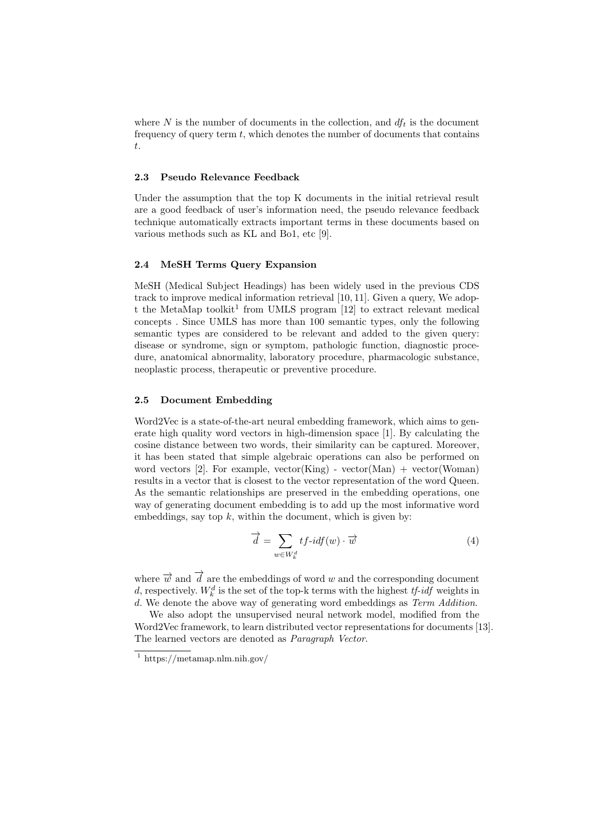where N is the number of documents in the collection, and  $df_t$  is the document frequency of query term *t*, which denotes the number of documents that contains *t*.

### **2.3 Pseudo Relevance Feedback**

Under the assumption that the top K documents in the initial retrieval result are a good feedback of user's information need, the pseudo relevance feedback technique automatically extracts important terms in these documents based on various methods such as KL and Bo1, etc [9].

### **2.4 MeSH Terms Query Expansion**

MeSH (Medical Subject Headings) has been widely used in the previous CDS track to improve medical information retrieval [10, 11]. Given a query, We adopt the MetaMap toolkit<sup>1</sup> from UMLS program  $[12]$  to extract relevant medical concepts . Since UMLS has more than 100 semantic types, only the following semantic types are considered to be relevant and added to the given query: disease or syndrome, sign or symptom, pathologic function, diagnostic procedure, anatomical abnormality, laboratory procedure, pharmacologic substance, neoplastic process, therapeutic or preventive procedure.

### **2.5 Document Embedding**

Word2Vec is a state-of-the-art neural embedding framework, which aims to generate high quality word vectors in high-dimension space [1]. By calculating the cosine distance between two words, their similarity can be captured. Moreover, it has been stated that simple algebraic operations can also be performed on word vectors [2]. For example, vector(King) - vector(Man) + vector(Woman) results in a vector that is closest to the vector representation of the word Queen. As the semantic relationships are preserved in the embedding operations, one way of generating document embedding is to add up the most informative word embeddings, say top *k*, within the document, which is given by:

$$
\overrightarrow{d} = \sum_{w \in W_k^d} t f \cdot id f(w) \cdot \overrightarrow{w} \tag{4}
$$

where  $\vec{w}$  and  $\vec{d}$  are the embeddings of word *w* and the corresponding document *d*, respectively.  $W_k^d$  is the set of the top-k terms with the highest *tf-idf* weights in *d*. We denote the above way of generating word embeddings as *Term Addition*.

We also adopt the unsupervised neural network model, modified from the Word2Vec framework, to learn distributed vector representations for documents [13]. The learned vectors are denoted as *Paragraph Vector*.

 $1 \text{ https://metaman.nlm.nih.gov/}$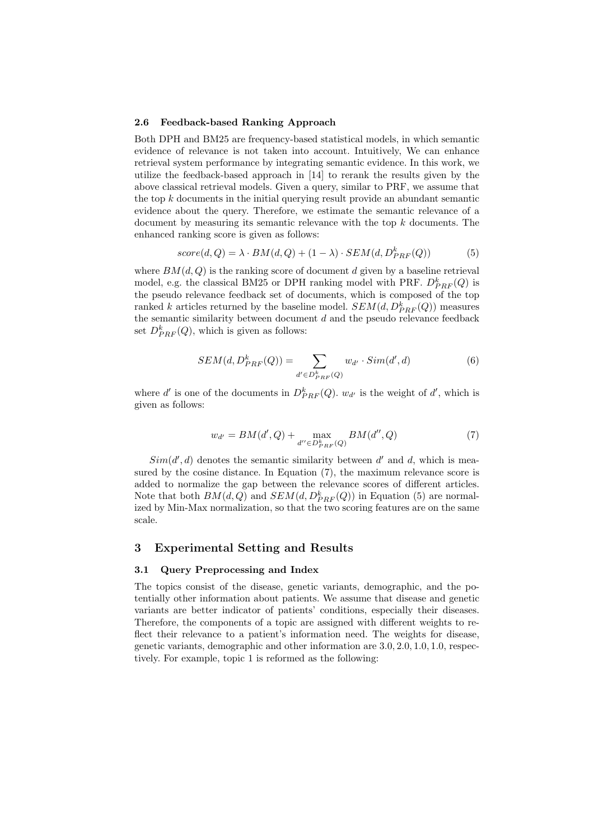#### **2.6 Feedback-based Ranking Approach**

Both DPH and BM25 are frequency-based statistical models, in which semantic evidence of relevance is not taken into account. Intuitively, We can enhance retrieval system performance by integrating semantic evidence. In this work, we utilize the feedback-based approach in [14] to rerank the results given by the above classical retrieval models. Given a query, similar to PRF, we assume that the top *k* documents in the initial querying result provide an abundant semantic evidence about the query. Therefore, we estimate the semantic relevance of a document by measuring its semantic relevance with the top *k* documents. The enhanced ranking score is given as follows:

$$
score(d, Q) = \lambda \cdot BM(d, Q) + (1 - \lambda) \cdot SEM(d, D_{PRF}^{k}(Q))
$$
\n<sup>(5)</sup>

where  $BM(d, Q)$  is the ranking score of document d given by a baseline retrieval model, e.g. the classical BM25 or DPH ranking model with PRF.  $D_{PRF}^k(Q)$  is the pseudo relevance feedback set of documents, which is composed of the top ranked *k* articles returned by the baseline model.  $SEM(d, D_{PRF}^k(Q))$  measures the semantic similarity between document *d* and the pseudo relevance feedback set  $D_{PRF}^k(Q)$ , which is given as follows:

$$
SEM(d, D_{PRF}^k(Q)) = \sum_{d' \in D_{PRF}^k(Q)} w_{d'} \cdot Sim(d', d)
$$
\n
$$
(6)
$$

where *d'* is one of the documents in  $D_{PRF}^k(Q)$ .  $w_{d'}$  is the weight of *d'*, which is given as follows:

$$
w_{d'} = BM(d', Q) + \max_{d'' \in D_{PRF}^k(Q)} BM(d'', Q)
$$
 (7)

 $Sim(d', d)$  denotes the semantic similarity between  $d'$  and  $d$ , which is measured by the cosine distance. In Equation (7), the maximum relevance score is added to normalize the gap between the relevance scores of different articles. Note that both  $BM(d, Q)$  and  $SEM(d, D_{PRF}^k(Q))$  in Equation (5) are normalized by Min-Max normalization, so that the two scoring features are on the same scale.

# **3 Experimental Setting and Results**

### **3.1 Query Preprocessing and Index**

The topics consist of the disease, genetic variants, demographic, and the potentially other information about patients. We assume that disease and genetic variants are better indicator of patients' conditions, especially their diseases. Therefore, the components of a topic are assigned with different weights to reflect their relevance to a patient's information need. The weights for disease, genetic variants, demographic and other information are 3*.*0*,* 2*.*0*,* 1*.*0*,* 1*.*0, respectively. For example, topic 1 is reformed as the following: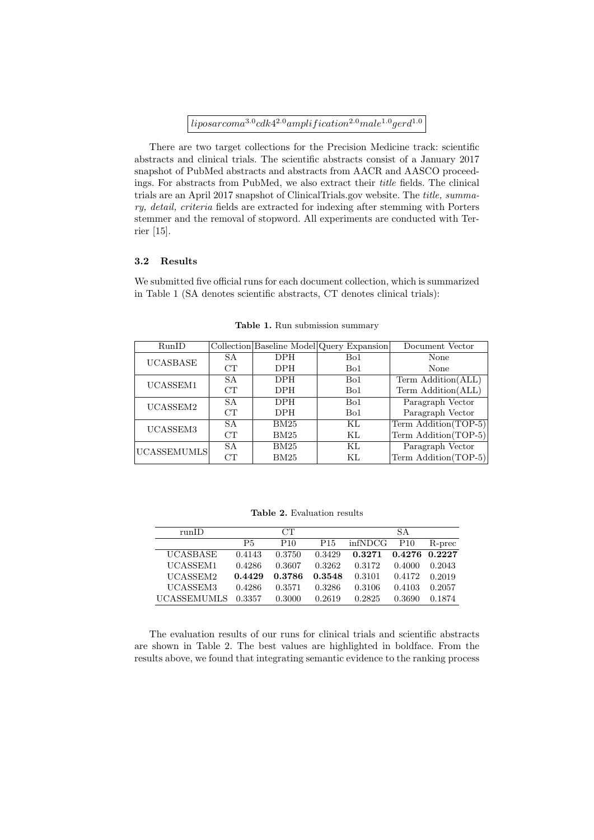# $liposarcoma^{3.0}cdk4^{2.0}amplification^{2.0}male^{1.0}gerd^{1.0}$

There are two target collections for the Precision Medicine track: scientific abstracts and clinical trials. The scientific abstracts consist of a January 2017 snapshot of PubMed abstracts and abstracts from AACR and AASCO proceedings. For abstracts from PubMed, we also extract their *title* fields. The clinical trials are an April 2017 snapshot of ClinicalTrials.gov website. The *title, summary, detail, criteria* fields are extracted for indexing after stemming with Porters stemmer and the removal of stopword. All experiments are conducted with Terrier [15].

# **3.2 Results**

We submitted five official runs for each document collection, which is summarized in Table 1 (SA denotes scientific abstracts, CT denotes clinical trials):

| RunID           |    |            | Collection Baseline Model Query Expansion | Document Vector      |  |
|-----------------|----|------------|-------------------------------------------|----------------------|--|
| <b>UCASBASE</b> | SA | DPH        | Bo1                                       | None                 |  |
|                 | CT | <b>DPH</b> | Bo1                                       | None                 |  |
| UCASSEM1        | SA | DPH        | Bo1                                       | Term Addition(ALL)   |  |
|                 | CT | <b>DPH</b> | Bo1                                       | Term Addition(ALL)   |  |
| UCASSEM2        | SA | <b>DPH</b> | Bo1                                       | Paragraph Vector     |  |
|                 | CT | <b>DPH</b> | Bo1                                       | Paragraph Vector     |  |
| UCASSEM3        | SA | BM25       | ΚL                                        | Term Addition(TOP-5) |  |
|                 | CT | BM25       | KL                                        | Term Addition(TOP-5) |  |
| UCASSEMUMLS     | SA | BM25       | KL                                        | Paragraph Vector     |  |
|                 | CT | BM25       | ΚL                                        | Term Addition(TOP-5) |  |

**Table 1.** Run submission summary

**Table 2.** Evaluation results

| runID              |        | CT.             |                 |         | SA.           |        |
|--------------------|--------|-----------------|-----------------|---------|---------------|--------|
|                    | P5     | P <sub>10</sub> | P <sub>15</sub> | infNDCG | P10           | R-prec |
| <b>UCASBASE</b>    | 0.4143 | 0.3750          | 0.3429          | 0.3271  | 0.4276 0.2227 |        |
| UCASSEM1           | 0.4286 | 0.3607          | 0.3262          | 0.3172  | 0.4000        | 0.2043 |
| UCASSEM2           | 0.4429 | 0.3786          | 0.3548          | 0.3101  | 0.4172        | 0.2019 |
| UCASSEM3           | 0.4286 | 0.3571          | 0.3286          | 0.3106  | 0.4103        | 0.2057 |
| <b>UCASSEMUMLS</b> | 0.3357 | 0.3000          | 0.2619          | 0.2825  | 0.3690        | 0.1874 |

The evaluation results of our runs for clinical trials and scientific abstracts are shown in Table 2. The best values are highlighted in boldface. From the results above, we found that integrating semantic evidence to the ranking process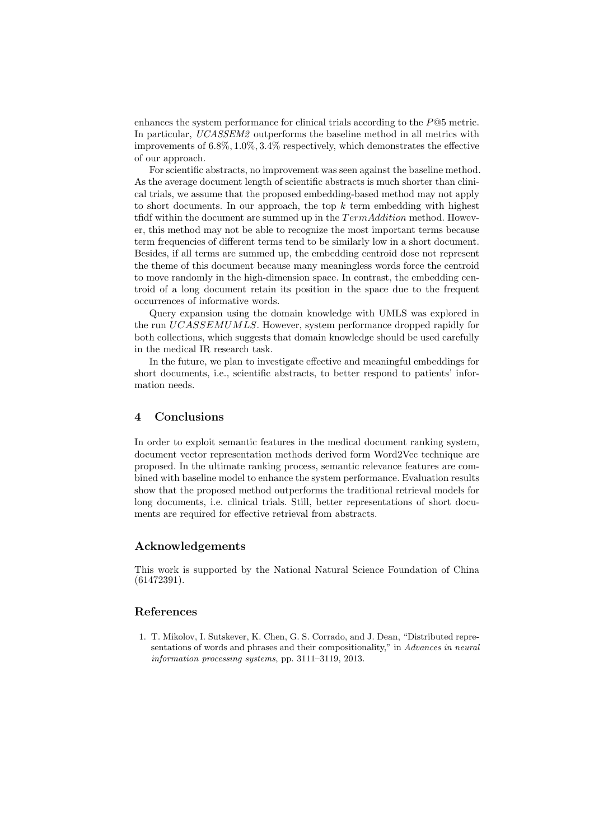enhances the system performance for clinical trials according to the *P*@5 metric. In particular, *UCASSEM2* outperforms the baseline method in all metrics with improvements of 6*.*8%*,* 1*.*0%*,* 3*.*4% respectively, which demonstrates the effective of our approach.

For scientific abstracts, no improvement was seen against the baseline method. As the average document length of scientific abstracts is much shorter than clinical trials, we assume that the proposed embedding-based method may not apply to short documents. In our approach, the top *k* term embedding with highest tfidf within the document are summed up in the *T ermAddition* method. However, this method may not be able to recognize the most important terms because term frequencies of different terms tend to be similarly low in a short document. Besides, if all terms are summed up, the embedding centroid dose not represent the theme of this document because many meaningless words force the centroid to move randomly in the high-dimension space. In contrast, the embedding centroid of a long document retain its position in the space due to the frequent occurrences of informative words.

Query expansion using the domain knowledge with UMLS was explored in the run *UCASSEMUMLS*. However, system performance dropped rapidly for both collections, which suggests that domain knowledge should be used carefully in the medical IR research task.

In the future, we plan to investigate effective and meaningful embeddings for short documents, i.e., scientific abstracts, to better respond to patients' information needs.

## **4 Conclusions**

In order to exploit semantic features in the medical document ranking system, document vector representation methods derived form Word2Vec technique are proposed. In the ultimate ranking process, semantic relevance features are combined with baseline model to enhance the system performance. Evaluation results show that the proposed method outperforms the traditional retrieval models for long documents, i.e. clinical trials. Still, better representations of short documents are required for effective retrieval from abstracts.

# **Acknowledgements**

This work is supported by the National Natural Science Foundation of China (61472391).

# **References**

1. T. Mikolov, I. Sutskever, K. Chen, G. S. Corrado, and J. Dean, "Distributed representations of words and phrases and their compositionality," in *Advances in neural information processing systems*, pp. 3111–3119, 2013.